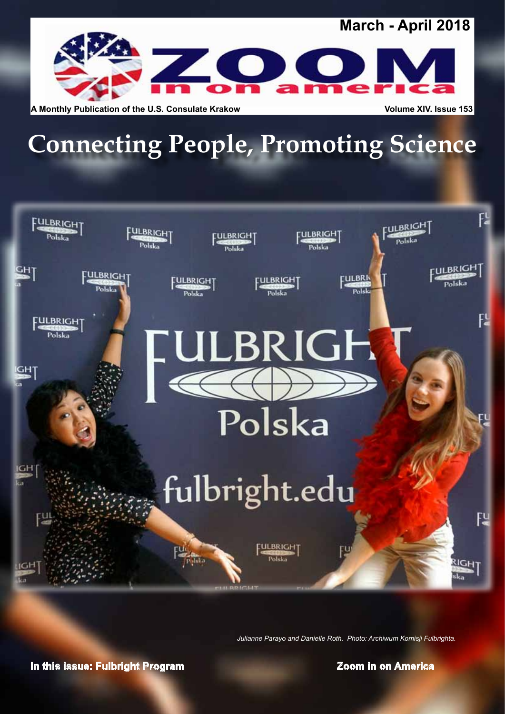

**A Monthly Publication of the U.S. Consulate Krakow <b>Volume XIV.** Issue 153

# **Connecting People, Promoting Science**



*Julianne Parayo and Danielle Roth. Photo: Archiwum Komisji Fulbrighta.*

**In this issue: Fulbright Program**  *In this issue: Fulbright Program*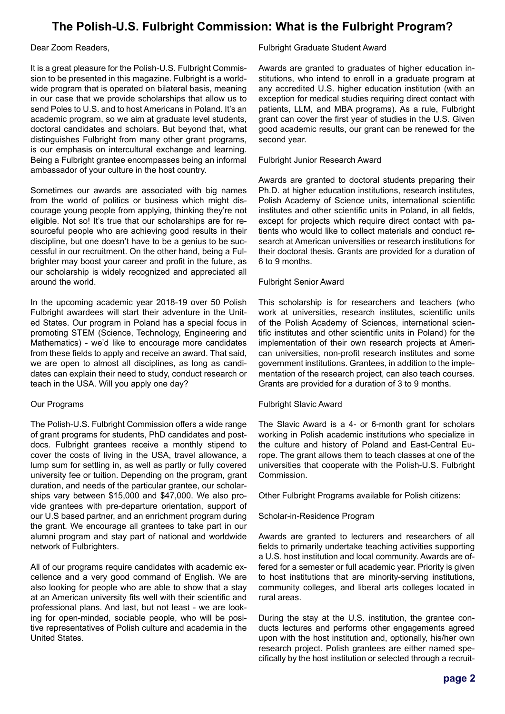# **The Polish-U.S. Fulbright Commission: What is the Fulbright Program?**

Dear Zoom Readers,

It is a great pleasure for the Polish-U.S. Fulbright Commission to be presented in this magazine. Fulbright is a worldwide program that is operated on bilateral basis, meaning in our case that we provide scholarships that allow us to send Poles to U.S. and to host Americans in Poland. It's an academic program, so we aim at graduate level students, doctoral candidates and scholars. But beyond that, what distinguishes Fulbright from many other grant programs, is our emphasis on intercultural exchange and learning. Being a Fulbright grantee encompasses being an informal ambassador of your culture in the host country.

Sometimes our awards are associated with big names from the world of politics or business which might discourage young people from applying, thinking they're not eligible. Not so! It's true that our scholarships are for resourceful people who are achieving good results in their discipline, but one doesn't have to be a genius to be successful in our recruitment. On the other hand, being a Fulbrighter may boost your career and profit in the future, as our scholarship is widely recognized and appreciated all around the world.

In the upcoming academic year 2018-19 over 50 Polish Fulbright awardees will start their adventure in the United States. Our program in Poland has a special focus in promoting STEM (Science, Technology, Engineering and Mathematics) - we'd like to encourage more candidates from these fields to apply and receive an award. That said, we are open to almost all disciplines, as long as candidates can explain their need to study, conduct research or teach in the USA. Will you apply one day?

#### Our Programs

The Polish-U.S. Fulbright Commission offers a wide range of grant programs for students, PhD candidates and postdocs. Fulbright grantees receive a monthly stipend to cover the costs of living in the USA, travel allowance, a lump sum for settling in, as well as partly or fully covered university fee or tuition. Depending on the program, grant duration, and needs of the particular grantee, our scholarships vary between \$15,000 and \$47,000. We also provide grantees with pre-departure orientation, support of our U.S based partner, and an enrichment program during the grant. We encourage all grantees to take part in our alumni program and stay part of national and worldwide network of Fulbrighters.

All of our programs require candidates with academic excellence and a very good command of English. We are also looking for people who are able to show that a stay at an American university fits well with their scientific and professional plans. And last, but not least - we are looking for open-minded, sociable people, who will be positive representatives of Polish culture and academia in the United States.

#### Fulbright Graduate Student Award

Awards are granted to graduates of higher education institutions, who intend to enroll in a graduate program at any accredited U.S. higher education institution (with an exception for medical studies requiring direct contact with patients, LLM, and MBA programs). As a rule, Fulbright grant can cover the first year of studies in the U.S. Given good academic results, our grant can be renewed for the second year.

#### Fulbright Junior Research Award

Awards are granted to doctoral students preparing their Ph.D. at higher education institutions, research institutes, Polish Academy of Science units, international scientific institutes and other scientific units in Poland, in all fields, except for projects which require direct contact with patients who would like to collect materials and conduct research at American universities or research institutions for their doctoral thesis. Grants are provided for a duration of 6 to 9 months.

#### Fulbright Senior Award

This scholarship is for researchers and teachers (who work at universities, research institutes, scientific units of the Polish Academy of Sciences, international scientific institutes and other scientific units in Poland) for the implementation of their own research projects at American universities, non-profit research institutes and some government institutions. Grantees, in addition to the implementation of the research project, can also teach courses. Grants are provided for a duration of 3 to 9 months.

#### Fulbright Slavic Award

The Slavic Award is a 4- or 6-month grant for scholars working in Polish academic institutions who specialize in the culture and history of Poland and East-Central Europe. The grant allows them to teach classes at one of the universities that cooperate with the Polish-U.S. Fulbright Commission.

Other Fulbright Programs available for Polish citizens:

#### Scholar-in-Residence Program

Awards are granted to lecturers and researchers of all fields to primarily undertake teaching activities supporting a U.S. host institution and local community. Awards are offered for a semester or full academic year. Priority is given to host institutions that are minority-serving institutions, community colleges, and liberal arts colleges located in rural areas.

During the stay at the U.S. institution, the grantee conducts lectures and performs other engagements agreed upon with the host institution and, optionally, his/her own research project. Polish grantees are either named specifically by the host institution or selected through a recruit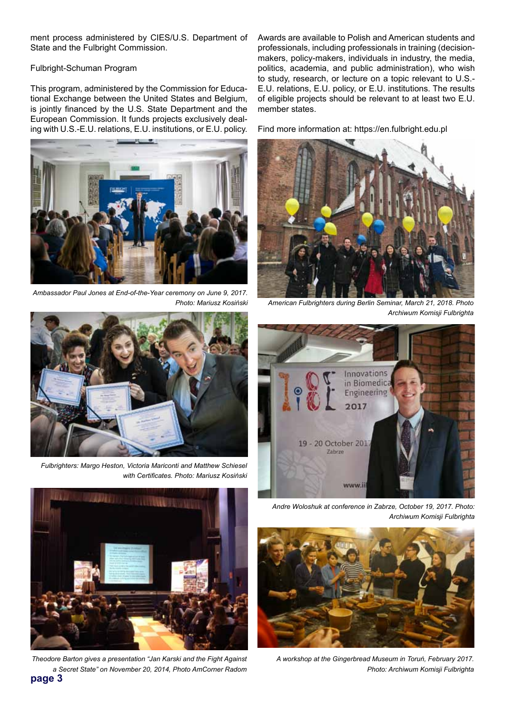ment process administered by CIES/U.S. Department of State and the Fulbright Commission.

#### Fulbright-Schuman Program

This program, administered by the Commission for Educational Exchange between the United States and Belgium, is jointly financed by the U.S. State Department and the European Commission. It funds projects exclusively dealing with U.S.-E.U. relations, E.U. institutions, or E.U. policy.



*Ambassador Paul Jones at End-of-the-Year ceremony on June 9, 2017.* 



*Fulbrighters: Margo Heston, Victoria Mariconti and Matthew Schiesel with Certificates. Photo: Mariusz Kosiński*



**page 3** *Theodore Barton gives a presentation "Jan Karski and the Fight Against a Secret State" on November 20, 2014, Photo AmCorner Radom*

Awards are available to Polish and American students and professionals, including professionals in training (decisionmakers, policy-makers, individuals in industry, the media, politics, academia, and public administration), who wish to study, research, or lecture on a topic relevant to U.S.- E.U. relations, E.U. policy, or E.U. institutions. The results of eligible projects should be relevant to at least two E.U. member states.

Find more information at: https://en.fulbright.edu.pl



*Photo: Mariusz Kosiński American Fulbrighters during Berlin Seminar, March 21, 2018. Photo Archiwum Komisji Fulbrighta*



*Andre Woloshuk at conference in Zabrze, October 19, 2017. Photo: Archiwum Komisji Fulbrighta*



*A workshop at the Gingerbread Museum in Toruń, February 2017. Photo: Archiwum Komisji Fulbrighta*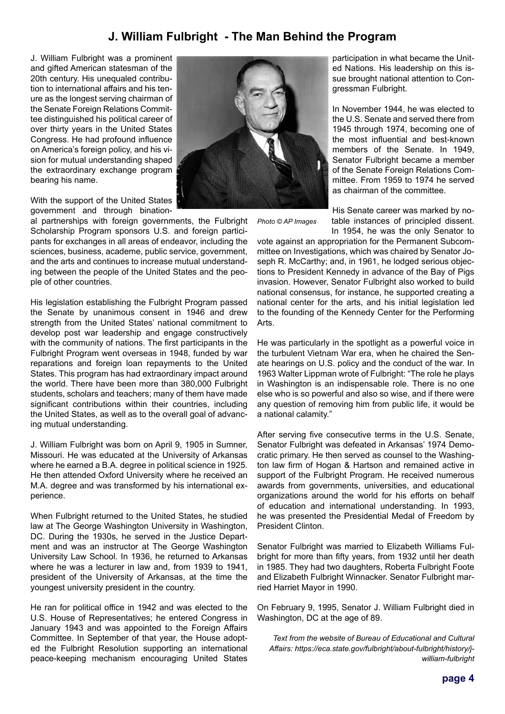# **J. William Fulbright - The Man Behind the Program**

J. William Fulbright was a prominent and gifted American statesman of the 20th century. His unequaled contribution to international affairs and his tenure as the longest serving chairman of the Senate Foreign Relations Committee distinguished his political career of over thirty years in the United States Congress. He had profound influence on America's foreign policy, and his vision for mutual understanding shaped the extraordinary exchange program bearing his name.

With the support of the United States government and through bination-

al partnerships with foreign governments, the Fulbright Scholarship Program sponsors U.S. and foreign participants for exchanges in all areas of endeavor, including the sciences, business, academe, public service, government, and the arts and continues to increase mutual understanding between the people of the United States and the people of other countries.

His legislation establishing the Fulbright Program passed the Senate by unanimous consent in 1946 and drew strength from the United States' national commitment to develop post war leadership and engage constructively with the community of nations. The first participants in the Fulbright Program went overseas in 1948, funded by war reparations and foreign loan repayments to the United States. This program has had extraordinary impact around the world. There have been more than 380,000 Fulbright students, scholars and teachers; many of them have made significant contributions within their countries, including the United States, as well as to the overall goal of advancing mutual understanding.

J. William Fulbright was born on April 9, 1905 in Sumner, Missouri. He was educated at the University of Arkansas where he earned a B.A. degree in political science in 1925. He then attended Oxford University where he received an M.A. degree and was transformed by his international experience.

When Fulbright returned to the United States, he studied law at The George Washington University in Washington, DC. During the 1930s, he served in the Justice Department and was an instructor at The George Washington University Law School. In 1936, he returned to Arkansas where he was a lecturer in law and, from 1939 to 1941, president of the University of Arkansas, at the time the youngest university president in the country.

He ran for political office in 1942 and was elected to the U.S. House of Representatives; he entered Congress in January 1943 and was appointed to the Foreign Affairs Committee. In September of that year, the House adopted the Fulbright Resolution supporting an international peace-keeping mechanism encouraging United States



participation in what became the United Nations. His leadership on this issue brought national attention to Congressman Fulbright.

In November 1944, he was elected to the U.S. Senate and served there from 1945 through 1974, becoming one of the most influential and best-known members of the Senate. In 1949, Senator Fulbright became a member of the Senate Foreign Relations Committee. From 1959 to 1974 he served as chairman of the committee.

*Photo © AP Images*

His Senate career was marked by notable instances of principled dissent. In 1954, he was the only Senator to

vote against an appropriation for the Permanent Subcommittee on Investigations, which was chaired by Senator Joseph R. McCarthy; and, in 1961, he lodged serious objections to President Kennedy in advance of the Bay of Pigs invasion. However, Senator Fulbright also worked to build national consensus, for instance, he supported creating a national center for the arts, and his initial legislation led to the founding of the Kennedy Center for the Performing Arts.

He was particularly in the spotlight as a powerful voice in the turbulent Vietnam War era, when he chaired the Senate hearings on U.S. policy and the conduct of the war. In 1963 Walter Lippman wrote of Fulbright: "The role he plays in Washington is an indispensable role. There is no one else who is so powerful and also so wise, and if there were any question of removing him from public life, it would be a national calamity."

After serving five consecutive terms in the U.S. Senate, Senator Fulbright was defeated in Arkansas' 1974 Democratic primary. He then served as counsel to the Washington law firm of Hogan & Hartson and remained active in support of the Fulbright Program. He received numerous awards from governments, universities, and educational organizations around the world for his efforts on behalf of education and international understanding. In 1993, he was presented the Presidential Medal of Freedom by President Clinton.

Senator Fulbright was married to Elizabeth Williams Fulbright for more than fifty years, from 1932 until her death in 1985. They had two daughters, Roberta Fulbright Foote and Elizabeth Fulbright Winnacker. Senator Fulbright married Harriet Mayor in 1990.

On February 9, 1995, Senator J. William Fulbright died in Washington, DC at the age of 89.

*Text from the website of Bureau of Educational and Cultural Affairs: https://eca.state.gov/fulbright/about-fulbright/history/jwilliam-fulbright*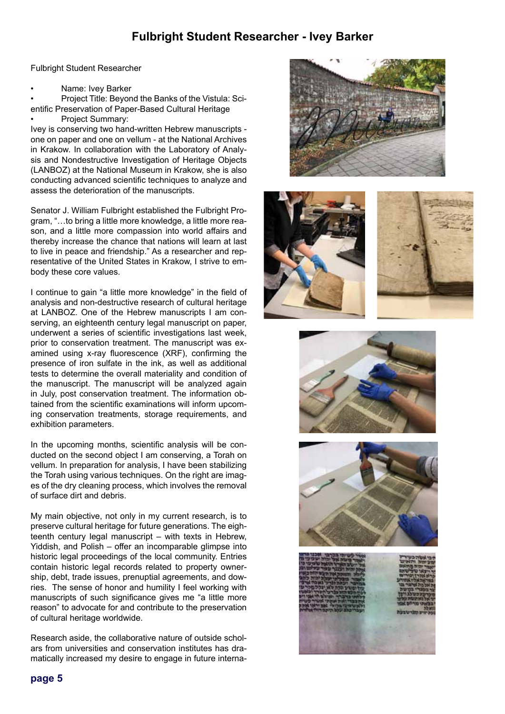# **Fulbright Student Researcher - Ivey Barker**

Fulbright Student Researcher

Name: Ivey Barker

• Project Title: Beyond the Banks of the Vistula: Scientific Preservation of Paper-Based Cultural Heritage Project Summary:

Ivey is conserving two hand-written Hebrew manuscripts one on paper and one on vellum - at the National Archives in Krakow. In collaboration with the Laboratory of Analysis and Nondestructive Investigation of Heritage Objects (LANBOZ) at the National Museum in Krakow, she is also conducting advanced scientific techniques to analyze and assess the deterioration of the manuscripts.

Senator J. William Fulbright established the Fulbright Program, "…to bring a little more knowledge, a little more reason, and a little more compassion into world affairs and thereby increase the chance that nations will learn at last to live in peace and friendship." As a researcher and representative of the United States in Krakow, I strive to embody these core values.

I continue to gain "a little more knowledge" in the field of analysis and non-destructive research of cultural heritage at LANBOZ. One of the Hebrew manuscripts I am conserving, an eighteenth century legal manuscript on paper, underwent a series of scientific investigations last week, prior to conservation treatment. The manuscript was examined using x-ray fluorescence (XRF), confirming the presence of iron sulfate in the ink, as well as additional tests to determine the overall materiality and condition of the manuscript. The manuscript will be analyzed again in July, post conservation treatment. The information obtained from the scientific examinations will inform upcoming conservation treatments, storage requirements, and exhibition parameters.

In the upcoming months, scientific analysis will be conducted on the second object I am conserving, a Torah on vellum. In preparation for analysis, I have been stabilizing the Torah using various techniques. On the right are images of the dry cleaning process, which involves the removal of surface dirt and debris.

My main objective, not only in my current research, is to preserve cultural heritage for future generations. The eighteenth century legal manuscript – with texts in Hebrew, Yiddish, and Polish – offer an incomparable glimpse into historic legal proceedings of the local community. Entries contain historic legal records related to property ownership, debt, trade issues, prenuptial agreements, and dowries. The sense of honor and humility I feel working with manuscripts of such significance gives me "a little more reason" to advocate for and contribute to the preservation of cultural heritage worldwide.

Research aside, the collaborative nature of outside scholars from universities and conservation institutes has dramatically increased my desire to engage in future interna-











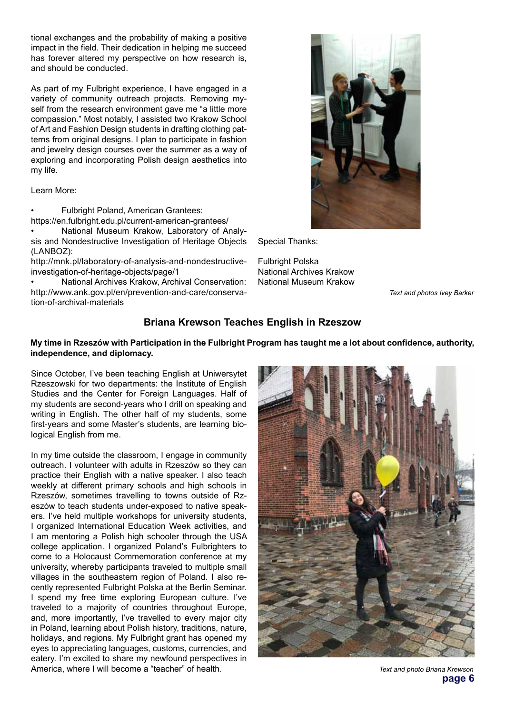tional exchanges and the probability of making a positive impact in the field. Their dedication in helping me succeed has forever altered my perspective on how research is, and should be conducted.

As part of my Fulbright experience, I have engaged in a variety of community outreach projects. Removing myself from the research environment gave me "a little more compassion." Most notably, I assisted two Krakow School of Art and Fashion Design students in drafting clothing patterns from original designs. I plan to participate in fashion and jewelry design courses over the summer as a way of exploring and incorporating Polish design aesthetics into my life.

Learn More:

• Fulbright Poland, American Grantees:

https://en.fulbright.edu.pl/current-american-grantees/ • National Museum Krakow, Laboratory of Analy-

sis and Nondestructive Investigation of Heritage Objects (LANBOZ):

http://mnk.pl/laboratory-of-analysis-and-nondestructiveinvestigation-of-heritage-objects/page/1

• National Archives Krakow, Archival Conservation: http://www.ank.gov.pl/en/prevention-and-care/conservation-of-archival-materials



Special Thanks:

Fulbright Polska National Archives Krakow National Museum Krakow

*Text and photos Ivey Barker*

### **Briana Krewson Teaches English in Rzeszow**

#### **My time in Rzeszów with Participation in the Fulbright Program has taught me a lot about confidence, authority, independence, and diplomacy.**

Since October, I've been teaching English at Uniwersytet Rzeszowski for two departments: the Institute of English Studies and the Center for Foreign Languages. Half of my students are second-years who I drill on speaking and writing in English. The other half of my students, some first-years and some Master's students, are learning biological English from me.

In my time outside the classroom, I engage in community outreach. I volunteer with adults in Rzeszów so they can practice their English with a native speaker. I also teach weekly at different primary schools and high schools in Rzeszów, sometimes travelling to towns outside of Rzeszów to teach students under-exposed to native speakers. I've held multiple workshops for university students, I organized International Education Week activities, and I am mentoring a Polish high schooler through the USA college application. I organized Poland's Fulbrighters to come to a Holocaust Commemoration conference at my university, whereby participants traveled to multiple small villages in the southeastern region of Poland. I also recently represented Fulbright Polska at the Berlin Seminar. I spend my free time exploring European culture. I've traveled to a majority of countries throughout Europe, and, more importantly, I've travelled to every major city in Poland, learning about Polish history, traditions, nature, holidays, and regions. My Fulbright grant has opened my eyes to appreciating languages, customs, currencies, and eatery. I'm excited to share my newfound perspectives in America, where I will become a "teacher" of health. *Text and photo Briana Krewson*



**page 6**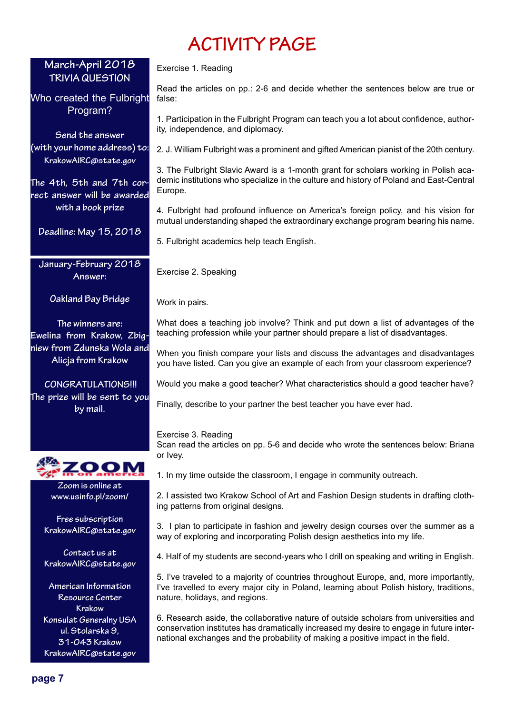# **ACTIVITY PAGE**

## **March-April 2018 TRIVIA QUESTION**

Who created the Fulbright Program?

**Send the answer (with your home address) to: KrakowAIRC@state.gov**

**The 4th, 5th and 7th correct answer will be awarded with a book prize**

**Deadline: May 15, 2018**

**January-February 2018 Answer:** 

**Oakland Bay Bridge** 

**The winners are: Ewelina from Krakow, Zbigniew from Zdunska Wola and Alicja from Krakow**

 **CONGRATULATIONS!!! The prize will be sent to you by mail.**



**Zoom is online at www.usinfo.pl/zoom/**

**Free subscription KrakowAIRC@state.gov**

**Contact us at KrakowAIRC@state.gov**

**American Information Resource Center Krakow Konsulat Generalny USA ul. Stolarska 9, 31-043 Krakow KrakowAIRC@state.gov**

Exercise 1. Reading

Read the articles on pp.: 2-6 and decide whether the sentences below are true or false:

1. Participation in the Fulbright Program can teach you a lot about confidence, authority, independence, and diplomacy.

2. J. William Fulbright was a prominent and gifted American pianist of the 20th century.

3. The Fulbright Slavic Award is a 1-month grant for scholars working in Polish academic institutions who specialize in the culture and history of Poland and East-Central Europe.

4. Fulbright had profound influence on America's foreign policy, and his vision for mutual understanding shaped the extraordinary exchange program bearing his name.

5. Fulbright academics help teach English.

Exercise 2. Speaking

Work in pairs.

What does a teaching job involve? Think and put down a list of advantages of the teaching profession while your partner should prepare a list of disadvantages.

When you finish compare your lists and discuss the advantages and disadvantages you have listed. Can you give an example of each from your classroom experience?

Would you make a good teacher? What characteristics should a good teacher have?

Finally, describe to your partner the best teacher you have ever had.

#### Exercise 3. Reading

Scan read the articles on pp. 5-6 and decide who wrote the sentences below: Briana or Ivey.

1. In my time outside the classroom, I engage in community outreach.

2. I assisted two Krakow School of Art and Fashion Design students in drafting clothing patterns from original designs.

3. I plan to participate in fashion and jewelry design courses over the summer as a way of exploring and incorporating Polish design aesthetics into my life.

4. Half of my students are second-years who I drill on speaking and writing in English.

5. I've traveled to a majority of countries throughout Europe, and, more importantly, I've travelled to every major city in Poland, learning about Polish history, traditions, nature, holidays, and regions.

6. Research aside, the collaborative nature of outside scholars from universities and conservation institutes has dramatically increased my desire to engage in future international exchanges and the probability of making a positive impact in the field.